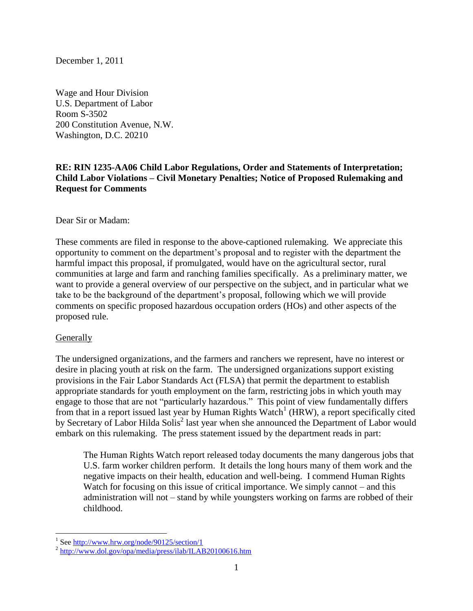December 1, 2011

Wage and Hour Division U.S. Department of Labor Room S-3502 200 Constitution Avenue, N.W. Washington, D.C. 20210

## **RE: RIN 1235-AA06 Child Labor Regulations, Order and Statements of Interpretation; Child Labor Violations – Civil Monetary Penalties; Notice of Proposed Rulemaking and Request for Comments**

Dear Sir or Madam:

These comments are filed in response to the above-captioned rulemaking. We appreciate this opportunity to comment on the department"s proposal and to register with the department the harmful impact this proposal, if promulgated, would have on the agricultural sector, rural communities at large and farm and ranching families specifically. As a preliminary matter, we want to provide a general overview of our perspective on the subject, and in particular what we take to be the background of the department's proposal, following which we will provide comments on specific proposed hazardous occupation orders (HOs) and other aspects of the proposed rule.

#### **Generally**

The undersigned organizations, and the farmers and ranchers we represent, have no interest or desire in placing youth at risk on the farm. The undersigned organizations support existing provisions in the Fair Labor Standards Act (FLSA) that permit the department to establish appropriate standards for youth employment on the farm, restricting jobs in which youth may engage to those that are not "particularly hazardous." This point of view fundamentally differs from that in a report issued last year by Human Rights Watch<sup>1</sup> (HRW), a report specifically cited by Secretary of Labor Hilda Solis<sup>2</sup> last year when she announced the Department of Labor would embark on this rulemaking. The press statement issued by the department reads in part:

The Human Rights Watch report released today documents the many dangerous jobs that U.S. farm worker children perform. It details the long hours many of them work and the negative impacts on their health, education and well-being. I commend Human Rights Watch for focusing on this issue of critical importance. We simply cannot – and this administration will not – stand by while youngsters working on farms are robbed of their childhood.

<sup>&</sup>lt;sup>1</sup> Se[e http://www.hrw.org/node/90125/section/1](http://www.hrw.org/node/90125/section/1)

<sup>&</sup>lt;sup>2</sup> <http://www.dol.gov/opa/media/press/ilab/ILAB20100616.htm>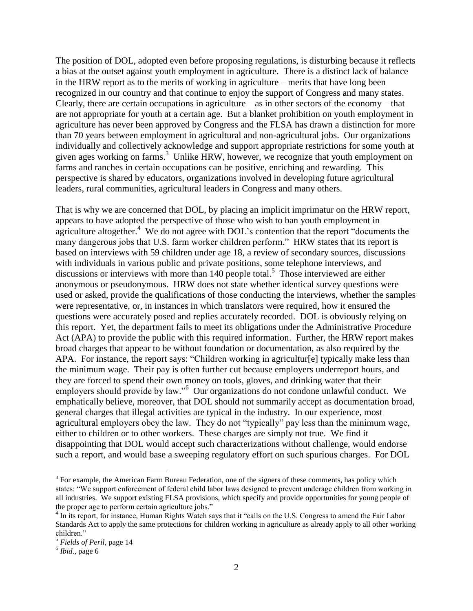The position of DOL, adopted even before proposing regulations, is disturbing because it reflects a bias at the outset against youth employment in agriculture. There is a distinct lack of balance in the HRW report as to the merits of working in agriculture – merits that have long been recognized in our country and that continue to enjoy the support of Congress and many states. Clearly, there are certain occupations in agriculture – as in other sectors of the economy – that are not appropriate for youth at a certain age. But a blanket prohibition on youth employment in agriculture has never been approved by Congress and the FLSA has drawn a distinction for more than 70 years between employment in agricultural and non-agricultural jobs. Our organizations individually and collectively acknowledge and support appropriate restrictions for some youth at given ages working on farms.<sup>3</sup> Unlike HRW, however, we recognize that youth employment on farms and ranches in certain occupations can be positive, enriching and rewarding. This perspective is shared by educators, organizations involved in developing future agricultural leaders, rural communities, agricultural leaders in Congress and many others.

That is why we are concerned that DOL, by placing an implicit imprimatur on the HRW report, appears to have adopted the perspective of those who wish to ban youth employment in agriculture altogether.<sup>4</sup> We do not agree with DOL's contention that the report "documents the many dangerous jobs that U.S. farm worker children perform." HRW states that its report is based on interviews with 59 children under age 18, a review of secondary sources, discussions with individuals in various public and private positions, some telephone interviews, and discussions or interviews with more than 140 people total.<sup>5</sup> Those interviewed are either anonymous or pseudonymous. HRW does not state whether identical survey questions were used or asked, provide the qualifications of those conducting the interviews, whether the samples were representative, or, in instances in which translators were required, how it ensured the questions were accurately posed and replies accurately recorded. DOL is obviously relying on this report. Yet, the department fails to meet its obligations under the Administrative Procedure Act (APA) to provide the public with this required information. Further, the HRW report makes broad charges that appear to be without foundation or documentation, as also required by the APA. For instance, the report says: "Children working in agricultur[e] typically make less than the minimum wage. Their pay is often further cut because employers underreport hours, and they are forced to spend their own money on tools, gloves, and drinking water that their employers should provide by law."<sup>6</sup> Our organizations do not condone unlawful conduct. We emphatically believe, moreover, that DOL should not summarily accept as documentation broad, general charges that illegal activities are typical in the industry. In our experience, most agricultural employers obey the law. They do not "typically" pay less than the minimum wage, either to children or to other workers. These charges are simply not true. We find it disappointing that DOL would accept such characterizations without challenge, would endorse such a report, and would base a sweeping regulatory effort on such spurious charges. For DOL

 $3$  For example, the American Farm Bureau Federation, one of the signers of these comments, has policy which states: "We support enforcement of federal child labor laws designed to prevent underage children from working in all industries. We support existing FLSA provisions, which specify and provide opportunities for young people of the proper age to perform certain agriculture jobs."

<sup>&</sup>lt;sup>4</sup> In its report, for instance, Human Rights Watch says that it "calls on the U.S. Congress to amend the Fair Labor Standards Act to apply the same protections for children working in agriculture as already apply to all other working children."

<sup>5</sup> *Fields of Peril*, page 14

 $<sup>6</sup> Ibid., page 6$ </sup>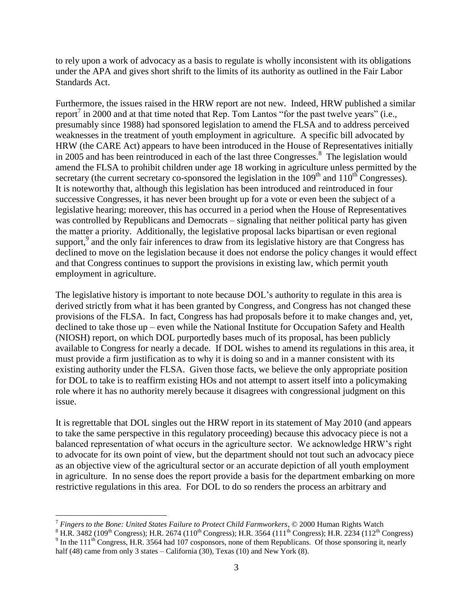to rely upon a work of advocacy as a basis to regulate is wholly inconsistent with its obligations under the APA and gives short shrift to the limits of its authority as outlined in the Fair Labor Standards Act.

Furthermore, the issues raised in the HRW report are not new. Indeed, HRW published a similar report<sup>7</sup> in 2000 and at that time noted that Rep. Tom Lantos "for the past twelve years" (i.e., presumably since 1988) had sponsored legislation to amend the FLSA and to address perceived weaknesses in the treatment of youth employment in agriculture. A specific bill advocated by HRW (the CARE Act) appears to have been introduced in the House of Representatives initially in 2005 and has been reintroduced in each of the last three Congresses. 8 The legislation would amend the FLSA to prohibit children under age 18 working in agriculture unless permitted by the secretary (the current secretary co-sponsored the legislation in the  $109<sup>th</sup>$  and  $110<sup>th</sup>$  Congresses). It is noteworthy that, although this legislation has been introduced and reintroduced in four successive Congresses, it has never been brought up for a vote or even been the subject of a legislative hearing; moreover, this has occurred in a period when the House of Representatives was controlled by Republicans and Democrats – signaling that neither political party has given the matter a priority. Additionally, the legislative proposal lacks bipartisan or even regional support,<sup>9</sup> and the only fair inferences to draw from its legislative history are that Congress has declined to move on the legislation because it does not endorse the policy changes it would effect and that Congress continues to support the provisions in existing law, which permit youth employment in agriculture.

The legislative history is important to note because DOL"s authority to regulate in this area is derived strictly from what it has been granted by Congress, and Congress has not changed these provisions of the FLSA. In fact, Congress has had proposals before it to make changes and, yet, declined to take those up – even while the National Institute for Occupation Safety and Health (NIOSH) report, on which DOL purportedly bases much of its proposal, has been publicly available to Congress for nearly a decade. If DOL wishes to amend its regulations in this area, it must provide a firm justification as to why it is doing so and in a manner consistent with its existing authority under the FLSA. Given those facts, we believe the only appropriate position for DOL to take is to reaffirm existing HOs and not attempt to assert itself into a policymaking role where it has no authority merely because it disagrees with congressional judgment on this issue.

It is regrettable that DOL singles out the HRW report in its statement of May 2010 (and appears to take the same perspective in this regulatory proceeding) because this advocacy piece is not a balanced representation of what occurs in the agriculture sector. We acknowledge HRW"s right to advocate for its own point of view, but the department should not tout such an advocacy piece as an objective view of the agricultural sector or an accurate depiction of all youth employment in agriculture. In no sense does the report provide a basis for the department embarking on more restrictive regulations in this area. For DOL to do so renders the process an arbitrary and

<sup>7</sup> *Fingers to the Bone: United States Failure to Protect Child Farmworkers*, © 2000 Human Rights Watch

<sup>&</sup>lt;sup>8</sup> H.R. 3482 (109<sup>th</sup> Congress); H.R. 2674 (110<sup>th</sup> Congress); H.R. 3564 (111<sup>th</sup> Congress); H.R. 2234 (112<sup>th</sup> Congress)  $9 \text{ In the } 111^{\text{th}}$  Congress, H.R. 3564 had 107 cosponsors, none of them Republicans. Of those sponsoring it, nearly half (48) came from only 3 states – California (30), Texas (10) and New York (8).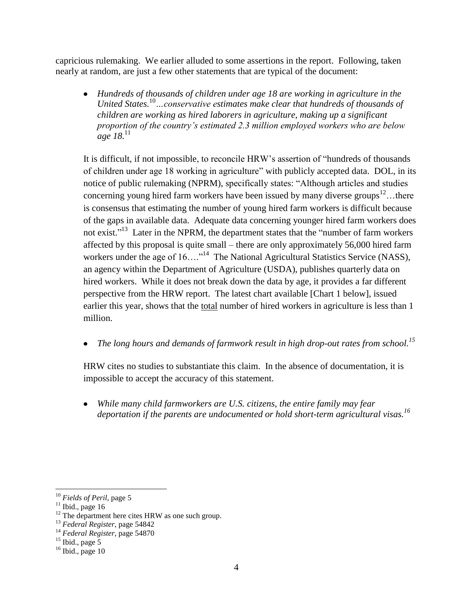capricious rulemaking. We earlier alluded to some assertions in the report. Following, taken nearly at random, are just a few other statements that are typical of the document:

*Hundreds of thousands of children under age 18 are working in agriculture in the United States.*<sup>10</sup>*…conservative estimates make clear that hundreds of thousands of children are working as hired laborers in agriculture, making up a significant proportion of the country's estimated 2.3 million employed workers who are below age* 18.<sup>11</sup>

It is difficult, if not impossible, to reconcile HRW"s assertion of "hundreds of thousands of children under age 18 working in agriculture" with publicly accepted data. DOL, in its notice of public rulemaking (NPRM), specifically states: "Although articles and studies concerning young hired farm workers have been issued by many diverse groups<sup>12</sup>...there is consensus that estimating the number of young hired farm workers is difficult because of the gaps in available data. Adequate data concerning younger hired farm workers does not exist."<sup>13</sup> Later in the NPRM, the department states that the "number of farm workers" affected by this proposal is quite small – there are only approximately 56,000 hired farm workers under the age of  $16...$ <sup>14</sup> The National Agricultural Statistics Service (NASS), an agency within the Department of Agriculture (USDA), publishes quarterly data on hired workers. While it does not break down the data by age, it provides a far different perspective from the HRW report. The latest chart available [Chart 1 below], issued earlier this year, shows that the total number of hired workers in agriculture is less than 1 million.

*The long hours and demands of farmwork result in high drop-out rates from school. 15*  $\bullet$ 

HRW cites no studies to substantiate this claim. In the absence of documentation, it is impossible to accept the accuracy of this statement.

*While many child farmworkers are U.S. citizens, the entire family may fear deportation if the parents are undocumented or hold short-term agricultural visas. 16*

<sup>10</sup> *Fields of Peril*, page 5

 $11$  Ibid., page 16

 $12$  The department here cites HRW as one such group.

<sup>13</sup> *Federal Register*, page 54842

<sup>14</sup> *Federal Register*, page 54870

 $^{15}$  Ibid., page 5

 $16$  Ibid., page 10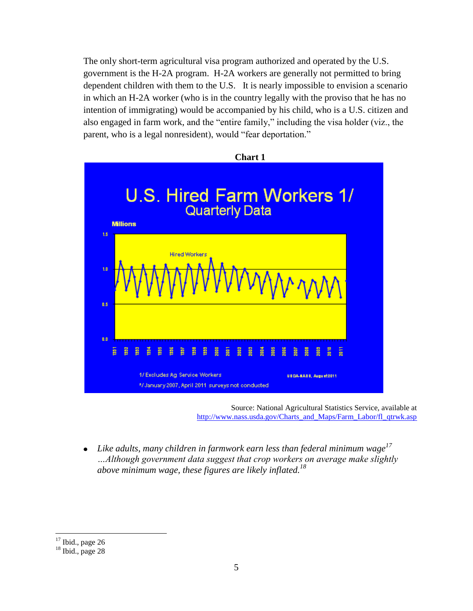The only short-term agricultural visa program authorized and operated by the U.S. government is the H-2A program. H-2A workers are generally not permitted to bring dependent children with them to the U.S. It is nearly impossible to envision a scenario in which an H-2A worker (who is in the country legally with the proviso that he has no intention of immigrating) would be accompanied by his child, who is a U.S. citizen and also engaged in farm work, and the "entire family," including the visa holder (viz., the parent, who is a legal nonresident), would "fear deportation."



Source: National Agricultural Statistics Service, available at [http://www.nass.usda.gov/Charts\\_and\\_Maps/Farm\\_Labor/fl\\_qtrwk.asp](http://www.nass.usda.gov/Charts_and_Maps/Farm_Labor/fl_qtrwk.asp)

*Like adults, many children in farmwork earn less than federal minimum wage<sup>17</sup>*   $\bullet$ *…Although government data suggest that crop workers on average make slightly*  above minimum wage, these figures are likely inflated.<sup>18</sup>

 $\overline{a}$  $17$  Ibid., page 26

 $18$  Ibid., page 28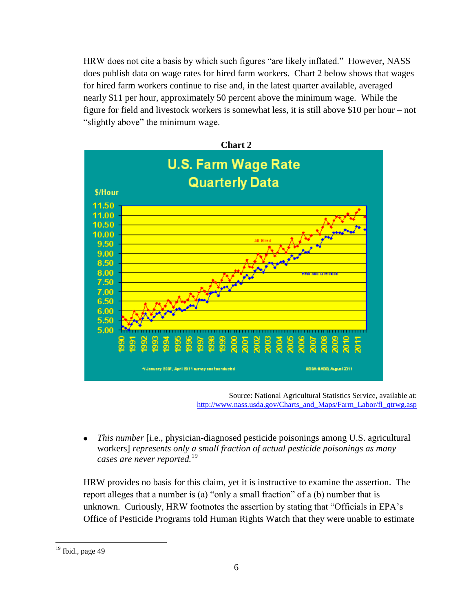HRW does not cite a basis by which such figures "are likely inflated." However, NASS does publish data on wage rates for hired farm workers. Chart 2 below shows that wages for hired farm workers continue to rise and, in the latest quarter available, averaged nearly \$11 per hour, approximately 50 percent above the minimum wage. While the figure for field and livestock workers is somewhat less, it is still above \$10 per hour – not "slightly above" the minimum wage.



Source: National Agricultural Statistics Service, available at: [http://www.nass.usda.gov/Charts\\_and\\_Maps/Farm\\_Labor/fl\\_qtrwg.asp](http://www.nass.usda.gov/Charts_and_Maps/Farm_Labor/fl_qtrwg.asp)

*This number* [i.e., physician-diagnosed pesticide poisonings among U.S. agricultural workers] *represents only a small fraction of actual pesticide poisonings as many cases are never reported.*<sup>19</sup> 

HRW provides no basis for this claim, yet it is instructive to examine the assertion. The report alleges that a number is (a) "only a small fraction" of a (b) number that is unknown. Curiously, HRW footnotes the assertion by stating that "Officials in EPA"s Office of Pesticide Programs told Human Rights Watch that they were unable to estimate

 $19$  Ibid., page 49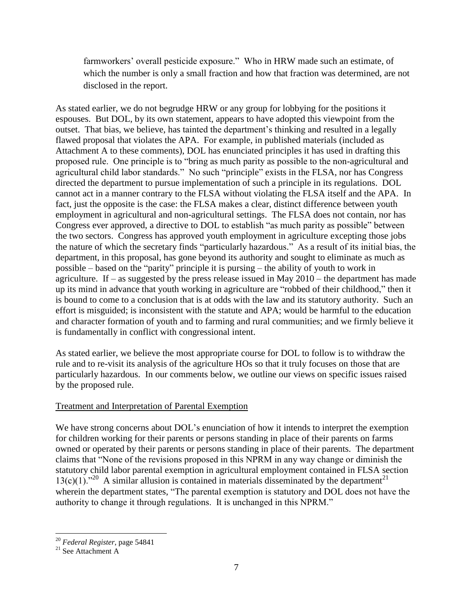farmworkers' overall pesticide exposure." Who in HRW made such an estimate, of which the number is only a small fraction and how that fraction was determined, are not disclosed in the report.

As stated earlier, we do not begrudge HRW or any group for lobbying for the positions it espouses. But DOL, by its own statement, appears to have adopted this viewpoint from the outset. That bias, we believe, has tainted the department's thinking and resulted in a legally flawed proposal that violates the APA. For example, in published materials (included as Attachment A to these comments), DOL has enunciated principles it has used in drafting this proposed rule. One principle is to "bring as much parity as possible to the non-agricultural and agricultural child labor standards." No such "principle" exists in the FLSA, nor has Congress directed the department to pursue implementation of such a principle in its regulations. DOL cannot act in a manner contrary to the FLSA without violating the FLSA itself and the APA. In fact, just the opposite is the case: the FLSA makes a clear, distinct difference between youth employment in agricultural and non-agricultural settings. The FLSA does not contain, nor has Congress ever approved, a directive to DOL to establish "as much parity as possible" between the two sectors. Congress has approved youth employment in agriculture excepting those jobs the nature of which the secretary finds "particularly hazardous." As a result of its initial bias, the department, in this proposal, has gone beyond its authority and sought to eliminate as much as possible – based on the "parity" principle it is pursing – the ability of youth to work in agriculture. If – as suggested by the press release issued in May  $2010$  – the department has made up its mind in advance that youth working in agriculture are "robbed of their childhood," then it is bound to come to a conclusion that is at odds with the law and its statutory authority. Such an effort is misguided; is inconsistent with the statute and APA; would be harmful to the education and character formation of youth and to farming and rural communities; and we firmly believe it is fundamentally in conflict with congressional intent.

As stated earlier, we believe the most appropriate course for DOL to follow is to withdraw the rule and to re-visit its analysis of the agriculture HOs so that it truly focuses on those that are particularly hazardous. In our comments below, we outline our views on specific issues raised by the proposed rule.

## Treatment and Interpretation of Parental Exemption

We have strong concerns about DOL's enunciation of how it intends to interpret the exemption for children working for their parents or persons standing in place of their parents on farms owned or operated by their parents or persons standing in place of their parents. The department claims that "None of the revisions proposed in this NPRM in any way change or diminish the statutory child labor parental exemption in agricultural employment contained in FLSA section  $13(c)(1)$ ."<sup>20</sup> A similar allusion is contained in materials disseminated by the department<sup>21</sup> wherein the department states, "The parental exemption is statutory and DOL does not have the authority to change it through regulations. It is unchanged in this NPRM."

<sup>20</sup> *Federal Register*, page 54841

 $21$  See Attachment A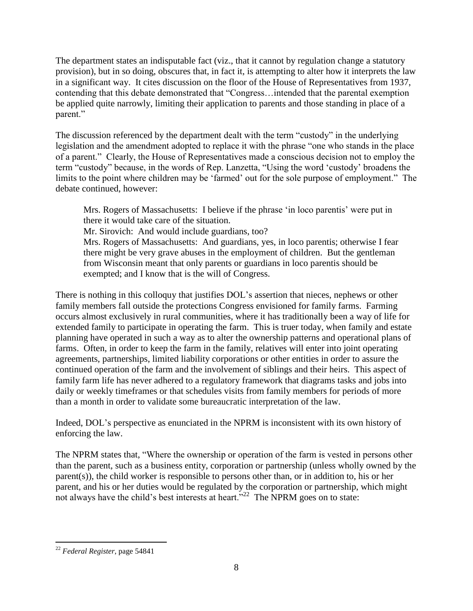The department states an indisputable fact (viz., that it cannot by regulation change a statutory provision), but in so doing, obscures that, in fact it, is attempting to alter how it interprets the law in a significant way. It cites discussion on the floor of the House of Representatives from 1937, contending that this debate demonstrated that "Congress…intended that the parental exemption be applied quite narrowly, limiting their application to parents and those standing in place of a parent."

The discussion referenced by the department dealt with the term "custody" in the underlying legislation and the amendment adopted to replace it with the phrase "one who stands in the place of a parent." Clearly, the House of Representatives made a conscious decision not to employ the term "custody" because, in the words of Rep. Lanzetta, "Using the word "custody" broadens the limits to the point where children may be "farmed" out for the sole purpose of employment." The debate continued, however:

Mrs. Rogers of Massachusetts: I believe if the phrase 'in loco parentis' were put in there it would take care of the situation.

Mr. Sirovich: And would include guardians, too?

Mrs. Rogers of Massachusetts: And guardians, yes, in loco parentis; otherwise I fear there might be very grave abuses in the employment of children. But the gentleman from Wisconsin meant that only parents or guardians in loco parentis should be exempted; and I know that is the will of Congress.

There is nothing in this colloquy that justifies DOL's assertion that nieces, nephews or other family members fall outside the protections Congress envisioned for family farms. Farming occurs almost exclusively in rural communities, where it has traditionally been a way of life for extended family to participate in operating the farm. This is truer today, when family and estate planning have operated in such a way as to alter the ownership patterns and operational plans of farms. Often, in order to keep the farm in the family, relatives will enter into joint operating agreements, partnerships, limited liability corporations or other entities in order to assure the continued operation of the farm and the involvement of siblings and their heirs. This aspect of family farm life has never adhered to a regulatory framework that diagrams tasks and jobs into daily or weekly timeframes or that schedules visits from family members for periods of more than a month in order to validate some bureaucratic interpretation of the law.

Indeed, DOL"s perspective as enunciated in the NPRM is inconsistent with its own history of enforcing the law.

The NPRM states that, "Where the ownership or operation of the farm is vested in persons other than the parent, such as a business entity, corporation or partnership (unless wholly owned by the parent(s)), the child worker is responsible to persons other than, or in addition to, his or her parent, and his or her duties would be regulated by the corporation or partnership, which might not always have the child's best interests at heart."<sup>22</sup> The NPRM goes on to state:

 $\overline{a}$ <sup>22</sup> *Federal Register*, page 54841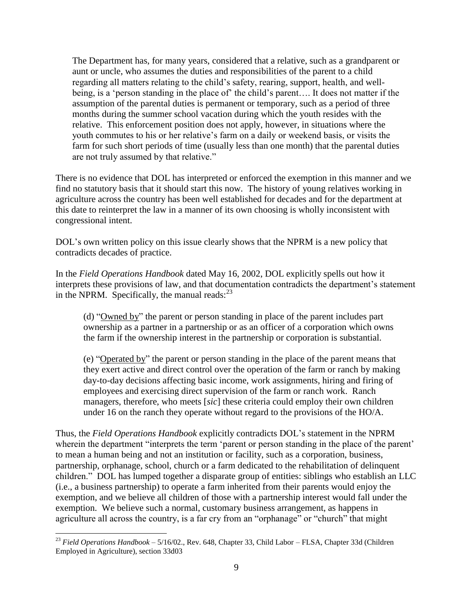The Department has, for many years, considered that a relative, such as a grandparent or aunt or uncle, who assumes the duties and responsibilities of the parent to a child regarding all matters relating to the child's safety, rearing, support, health, and wellbeing, is a 'person standing in the place of' the child's parent.... It does not matter if the assumption of the parental duties is permanent or temporary, such as a period of three months during the summer school vacation during which the youth resides with the relative. This enforcement position does not apply, however, in situations where the youth commutes to his or her relative's farm on a daily or weekend basis, or visits the farm for such short periods of time (usually less than one month) that the parental duties are not truly assumed by that relative."

There is no evidence that DOL has interpreted or enforced the exemption in this manner and we find no statutory basis that it should start this now. The history of young relatives working in agriculture across the country has been well established for decades and for the department at this date to reinterpret the law in a manner of its own choosing is wholly inconsistent with congressional intent.

DOL"s own written policy on this issue clearly shows that the NPRM is a new policy that contradicts decades of practice.

In the *Field Operations Handbook* dated May 16, 2002, DOL explicitly spells out how it interprets these provisions of law, and that documentation contradicts the department's statement in the NPRM. Specifically, the manual reads: $^{23}$ 

(d) "Owned by" the parent or person standing in place of the parent includes part ownership as a partner in a partnership or as an officer of a corporation which owns the farm if the ownership interest in the partnership or corporation is substantial.

(e) "Operated by" the parent or person standing in the place of the parent means that they exert active and direct control over the operation of the farm or ranch by making day-to-day decisions affecting basic income, work assignments, hiring and firing of employees and exercising direct supervision of the farm or ranch work. Ranch managers, therefore, who meets [*sic*] these criteria could employ their own children under 16 on the ranch they operate without regard to the provisions of the HO/A.

Thus, the *Field Operations Handbook* explicitly contradicts DOL"s statement in the NPRM wherein the department "interprets the term 'parent or person standing in the place of the parent' to mean a human being and not an institution or facility, such as a corporation, business, partnership, orphanage, school, church or a farm dedicated to the rehabilitation of delinquent children." DOL has lumped together a disparate group of entities: siblings who establish an LLC (i.e., a business partnership) to operate a farm inherited from their parents would enjoy the exemption, and we believe all children of those with a partnership interest would fall under the exemption. We believe such a normal, customary business arrangement, as happens in agriculture all across the country, is a far cry from an "orphanage" or "church" that might

<sup>23</sup> *Field Operations Handbook* – 5/16/02., Rev. 648, Chapter 33, Child Labor – FLSA, Chapter 33d (Children Employed in Agriculture), section 33d03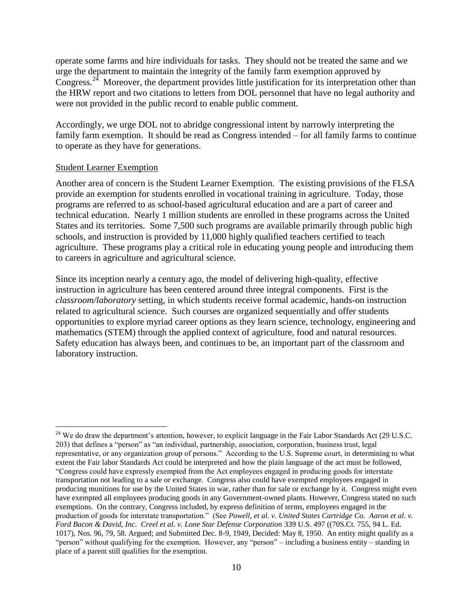operate some farms and hire individuals for tasks. They should not be treated the same and we urge the department to maintain the integrity of the family farm exemption approved by Congress.<sup>24</sup> Moreover, the department provides little justification for its interpretation other than the HRW report and two citations to letters from DOL personnel that have no legal authority and were not provided in the public record to enable public comment.

Accordingly, we urge DOL not to abridge congressional intent by narrowly interpreting the family farm exemption. It should be read as Congress intended – for all family farms to continue to operate as they have for generations.

#### Student Learner Exemption

 $\overline{a}$ 

Another area of concern is the Student Learner Exemption. The existing provisions of the FLSA provide an exemption for students enrolled in vocational training in agriculture. Today, those programs are referred to as school-based agricultural education and are a part of career and technical education. Nearly 1 million students are enrolled in these programs across the United States and its territories. Some 7,500 such programs are available primarily through public high schools, and instruction is provided by 11,000 highly qualified teachers certified to teach agriculture. These programs play a critical role in educating young people and introducing them to careers in agriculture and agricultural science.

Since its inception nearly a century ago, the model of delivering high-quality, effective instruction in agriculture has been centered around three integral components. First is the *classroom/laboratory* setting, in which students receive formal academic, hands-on instruction related to agricultural science. Such courses are organized sequentially and offer students opportunities to explore myriad career options as they learn science, technology, engineering and mathematics (STEM) through the applied context of agriculture, food and natural resources. Safety education has always been, and continues to be, an important part of the classroom and laboratory instruction.

<sup>&</sup>lt;sup>24</sup> We do draw the department's attention, however, to explicit language in the Fair Labor Standards Act (29 U.S.C. 203) that defines a "person" as "an individual, partnership, association, corporation, business trust, legal representative, or any organization group of persons." According to the U.S. Supreme court, in determining to what extent the Fair labor Standards Act could be interpreted and how the plain language of the act must be followed, "Congress could have expressly exempted from the Act employees engaged in producing goods for interstate transportation not leading to a sale or exchange. Congress also could have exempted employees engaged in producing munitions for use by the United States in war, rather than for sale or exchange by it. Congress might even have exempted all employees producing goods in any Government-owned plants. However, Congress stated no such exemptions. On the contrary, Congress included, by express definition of terms, employees engaged in the production of goods for interstate transportation." (See *Powell, et al. v. United States Cartridge Co. Aaron et al. v. Ford Bacon & David, Inc. Creel et al. v. Lone Star Defense Corporation* 339 U.S. 497 ((70S.Ct. 755, 94 L. Ed. 1017), Nos. 96, 79, 58. Argued; and Submitted Dec. 8-9, 1949, Decided: May 8, 1950. An entity might qualify as a "person" without qualifying for the exemption. However, any "person" – including a business entity – standing in place of a parent still qualifies for the exemption.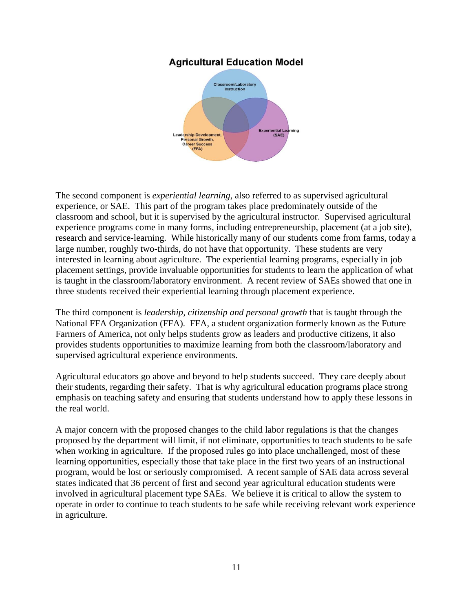## **Agricultural Education Model**



The second component is *experiential learning*, also referred to as supervised agricultural experience, or SAE. This part of the program takes place predominately outside of the classroom and school, but it is supervised by the agricultural instructor. Supervised agricultural experience programs come in many forms, including entrepreneurship, placement (at a job site), research and service-learning. While historically many of our students come from farms, today a large number, roughly two-thirds, do not have that opportunity. These students are very interested in learning about agriculture. The experiential learning programs, especially in job placement settings, provide invaluable opportunities for students to learn the application of what is taught in the classroom/laboratory environment. A recent review of SAEs showed that one in three students received their experiential learning through placement experience.

The third component is *leadership, citizenship and personal growth* that is taught through the National FFA Organization (FFA). FFA, a student organization formerly known as the Future Farmers of America, not only helps students grow as leaders and productive citizens, it also provides students opportunities to maximize learning from both the classroom/laboratory and supervised agricultural experience environments.

Agricultural educators go above and beyond to help students succeed. They care deeply about their students, regarding their safety. That is why agricultural education programs place strong emphasis on teaching safety and ensuring that students understand how to apply these lessons in the real world.

A major concern with the proposed changes to the child labor regulations is that the changes proposed by the department will limit, if not eliminate, opportunities to teach students to be safe when working in agriculture. If the proposed rules go into place unchallenged, most of these learning opportunities, especially those that take place in the first two years of an instructional program, would be lost or seriously compromised. A recent sample of SAE data across several states indicated that 36 percent of first and second year agricultural education students were involved in agricultural placement type SAEs. We believe it is critical to allow the system to operate in order to continue to teach students to be safe while receiving relevant work experience in agriculture.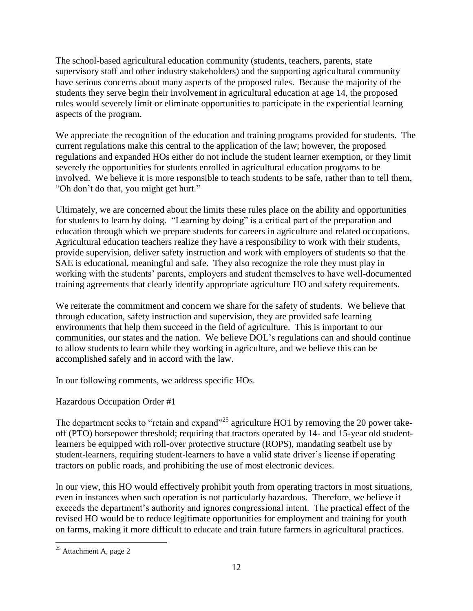The school-based agricultural education community (students, teachers, parents, state supervisory staff and other industry stakeholders) and the supporting agricultural community have serious concerns about many aspects of the proposed rules. Because the majority of the students they serve begin their involvement in agricultural education at age 14, the proposed rules would severely limit or eliminate opportunities to participate in the experiential learning aspects of the program.

We appreciate the recognition of the education and training programs provided for students. The current regulations make this central to the application of the law; however, the proposed regulations and expanded HOs either do not include the student learner exemption, or they limit severely the opportunities for students enrolled in agricultural education programs to be involved. We believe it is more responsible to teach students to be safe, rather than to tell them, "Oh don"t do that, you might get hurt."

Ultimately, we are concerned about the limits these rules place on the ability and opportunities for students to learn by doing. "Learning by doing" is a critical part of the preparation and education through which we prepare students for careers in agriculture and related occupations. Agricultural education teachers realize they have a responsibility to work with their students, provide supervision, deliver safety instruction and work with employers of students so that the SAE is educational, meaningful and safe. They also recognize the role they must play in working with the students' parents, employers and student themselves to have well-documented training agreements that clearly identify appropriate agriculture HO and safety requirements.

We reiterate the commitment and concern we share for the safety of students. We believe that through education, safety instruction and supervision, they are provided safe learning environments that help them succeed in the field of agriculture. This is important to our communities, our states and the nation. We believe DOL"s regulations can and should continue to allow students to learn while they working in agriculture, and we believe this can be accomplished safely and in accord with the law.

In our following comments, we address specific HOs.

## Hazardous Occupation Order #1

The department seeks to "retain and expand"<sup>25</sup> agriculture HO1 by removing the 20 power takeoff (PTO) horsepower threshold; requiring that tractors operated by 14- and 15-year old studentlearners be equipped with roll-over protective structure (ROPS), mandating seatbelt use by student-learners, requiring student-learners to have a valid state driver"s license if operating tractors on public roads, and prohibiting the use of most electronic devices.

In our view, this HO would effectively prohibit youth from operating tractors in most situations, even in instances when such operation is not particularly hazardous. Therefore, we believe it exceeds the department's authority and ignores congressional intent. The practical effect of the revised HO would be to reduce legitimate opportunities for employment and training for youth on farms, making it more difficult to educate and train future farmers in agricultural practices.

 $\overline{a}$  $2<sup>25</sup>$  Attachment A, page 2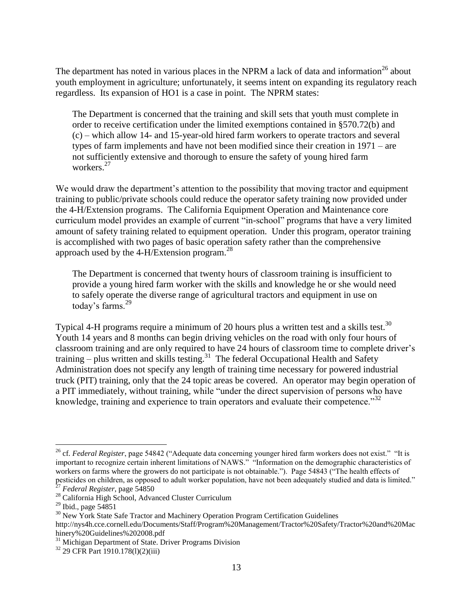The department has noted in various places in the NPRM a lack of data and information<sup>26</sup> about youth employment in agriculture; unfortunately, it seems intent on expanding its regulatory reach regardless. Its expansion of HO1 is a case in point. The NPRM states:

The Department is concerned that the training and skill sets that youth must complete in order to receive certification under the limited exemptions contained in §570.72(b) and (c) – which allow 14- and 15-year-old hired farm workers to operate tractors and several types of farm implements and have not been modified since their creation in 1971 – are not sufficiently extensive and thorough to ensure the safety of young hired farm workers.<sup>27</sup>

We would draw the department's attention to the possibility that moving tractor and equipment training to public/private schools could reduce the operator safety training now provided under the 4-H/Extension programs. The California Equipment Operation and Maintenance core curriculum model provides an example of current "in-school" programs that have a very limited amount of safety training related to equipment operation. Under this program, operator training is accomplished with two pages of basic operation safety rather than the comprehensive approach used by the 4-H/Extension program. $^{28}$ 

The Department is concerned that twenty hours of classroom training is insufficient to provide a young hired farm worker with the skills and knowledge he or she would need to safely operate the diverse range of agricultural tractors and equipment in use on today's farms.<sup>29</sup>

Typical 4-H programs require a minimum of 20 hours plus a written test and a skills test.<sup>30</sup> Youth 14 years and 8 months can begin driving vehicles on the road with only four hours of classroom training and are only required to have 24 hours of classroom time to complete driver"s training  $-$  plus written and skills testing.<sup>31</sup> The federal Occupational Health and Safety Administration does not specify any length of training time necessary for powered industrial truck (PIT) training, only that the 24 topic areas be covered. An operator may begin operation of a PIT immediately, without training, while "under the direct supervision of persons who have knowledge, training and experience to train operators and evaluate their competence.<sup>32</sup>

<sup>&</sup>lt;sup>26</sup> cf. *Federal Register*, page 54842 ("Adequate data concerning younger hired farm workers does not exist." "It is important to recognize certain inherent limitations of NAWS." "Information on the demographic characteristics of workers on farms where the growers do not participate is not obtainable."). Page 54843 ("The health effects of pesticides on children, as opposed to adult worker population, have not been adequately studied and data is limited."<br> $27$  External P <sup>27</sup> *Federal Register*, page 54850

<sup>&</sup>lt;sup>28</sup> California High School, Advanced Cluster Curriculum

 $29$  Ibid., page 54851

<sup>&</sup>lt;sup>30</sup> New York State Safe Tractor and Machinery Operation Program Certification Guidelines http://nys4h.cce.cornell.edu/Documents/Staff/Program%20Management/Tractor%20Safety/Tractor%20and%20Mac hinery%20Guidelines%202008.pdf

<sup>&</sup>lt;sup>31</sup> Michigan Department of State. Driver Programs Division

<sup>32</sup> 29 CFR Part 1910.178(l)(2)(iii)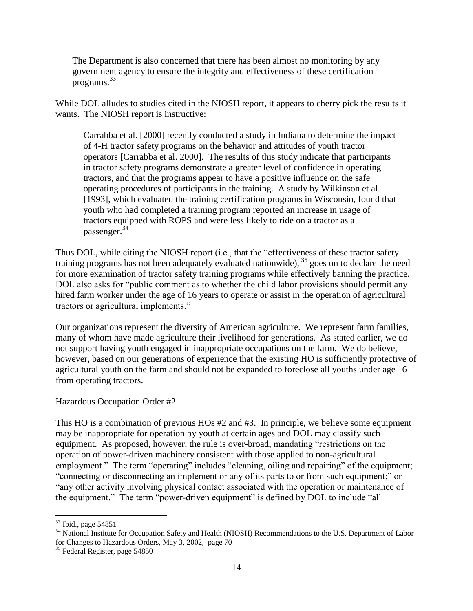The Department is also concerned that there has been almost no monitoring by any government agency to ensure the integrity and effectiveness of these certification programs.<sup>33</sup>

While DOL alludes to studies cited in the NIOSH report, it appears to cherry pick the results it wants. The NIOSH report is instructive:

Carrabba et al. [2000] recently conducted a study in Indiana to determine the impact of 4-H tractor safety programs on the behavior and attitudes of youth tractor operators [Carrabba et al. 2000]. The results of this study indicate that participants in tractor safety programs demonstrate a greater level of confidence in operating tractors, and that the programs appear to have a positive influence on the safe operating procedures of participants in the training. A study by Wilkinson et al. [1993], which evaluated the training certification programs in Wisconsin, found that youth who had completed a training program reported an increase in usage of tractors equipped with ROPS and were less likely to ride on a tractor as a passenger. 34

Thus DOL, while citing the NIOSH report (i.e., that the "effectiveness of these tractor safety training programs has not been adequately evaluated nationwide), <sup>35</sup> goes on to declare the need for more examination of tractor safety training programs while effectively banning the practice. DOL also asks for "public comment as to whether the child labor provisions should permit any hired farm worker under the age of 16 years to operate or assist in the operation of agricultural tractors or agricultural implements."

Our organizations represent the diversity of American agriculture. We represent farm families, many of whom have made agriculture their livelihood for generations. As stated earlier, we do not support having youth engaged in inappropriate occupations on the farm. We do believe, however, based on our generations of experience that the existing HO is sufficiently protective of agricultural youth on the farm and should not be expanded to foreclose all youths under age 16 from operating tractors.

#### Hazardous Occupation Order #2

This HO is a combination of previous HOs #2 and #3. In principle, we believe some equipment may be inappropriate for operation by youth at certain ages and DOL may classify such equipment. As proposed, however, the rule is over-broad, mandating "restrictions on the operation of power-driven machinery consistent with those applied to non-agricultural employment." The term "operating" includes "cleaning, oiling and repairing" of the equipment; "connecting or disconnecting an implement or any of its parts to or from such equipment;" or "any other activity involving physical contact associated with the operation or maintenance of the equipment." The term "power-driven equipment" is defined by DOL to include "all

 $33$  Ibid., page 54851

<sup>&</sup>lt;sup>34</sup> National Institute for Occupation Safety and Health (NIOSH) Recommendations to the U.S. Department of Labor for Changes to Hazardous Orders, May 3, 2002, page 70

<sup>&</sup>lt;sup>35</sup> Federal Register, page 54850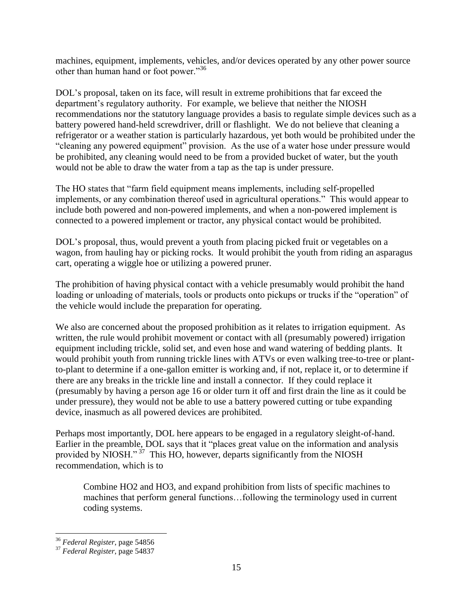machines, equipment, implements, vehicles, and/or devices operated by any other power source other than human hand or foot power."<sup>36</sup>

DOL"s proposal, taken on its face, will result in extreme prohibitions that far exceed the department's regulatory authority. For example, we believe that neither the NIOSH recommendations nor the statutory language provides a basis to regulate simple devices such as a battery powered hand-held screwdriver, drill or flashlight. We do not believe that cleaning a refrigerator or a weather station is particularly hazardous, yet both would be prohibited under the "cleaning any powered equipment" provision. As the use of a water hose under pressure would be prohibited, any cleaning would need to be from a provided bucket of water, but the youth would not be able to draw the water from a tap as the tap is under pressure.

The HO states that "farm field equipment means implements, including self-propelled implements, or any combination thereof used in agricultural operations." This would appear to include both powered and non-powered implements, and when a non-powered implement is connected to a powered implement or tractor, any physical contact would be prohibited.

DOL"s proposal, thus, would prevent a youth from placing picked fruit or vegetables on a wagon, from hauling hay or picking rocks. It would prohibit the youth from riding an asparagus cart, operating a wiggle hoe or utilizing a powered pruner.

The prohibition of having physical contact with a vehicle presumably would prohibit the hand loading or unloading of materials, tools or products onto pickups or trucks if the "operation" of the vehicle would include the preparation for operating.

We also are concerned about the proposed prohibition as it relates to irrigation equipment. As written, the rule would prohibit movement or contact with all (presumably powered) irrigation equipment including trickle, solid set, and even hose and wand watering of bedding plants. It would prohibit youth from running trickle lines with ATVs or even walking tree-to-tree or plantto-plant to determine if a one-gallon emitter is working and, if not, replace it, or to determine if there are any breaks in the trickle line and install a connector. If they could replace it (presumably by having a person age 16 or older turn it off and first drain the line as it could be under pressure), they would not be able to use a battery powered cutting or tube expanding device, inasmuch as all powered devices are prohibited.

Perhaps most importantly, DOL here appears to be engaged in a regulatory sleight-of-hand. Earlier in the preamble, DOL says that it "places great value on the information and analysis provided by NIOSH."<sup>37</sup> This HO, however, departs significantly from the NIOSH recommendation, which is to

Combine HO2 and HO3, and expand prohibition from lists of specific machines to machines that perform general functions…following the terminology used in current coding systems.

 $\overline{a}$ <sup>36</sup> *Federal Register*, page 54856

<sup>37</sup> *Federal Register*, page 54837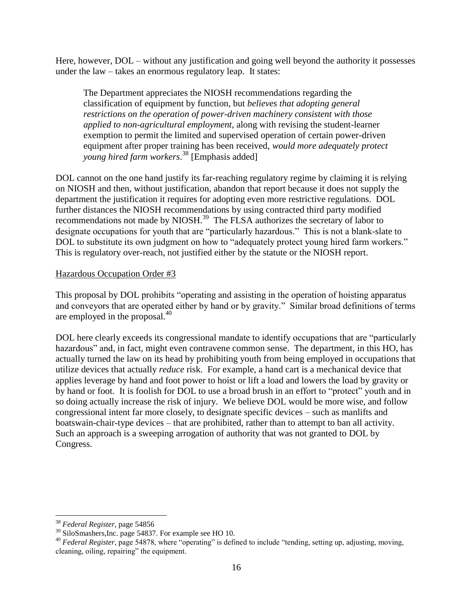Here, however, DOL – without any justification and going well beyond the authority it possesses under the law – takes an enormous regulatory leap. It states:

The Department appreciates the NIOSH recommendations regarding the classification of equipment by function, but *believes that adopting general restrictions on the operation of power-driven machinery consistent with those applied to non-agricultural employment*, along with revising the student-learner exemption to permit the limited and supervised operation of certain power-driven equipment after proper training has been received, *would more adequately protect young hired farm workers*. <sup>38</sup> [Emphasis added]

DOL cannot on the one hand justify its far-reaching regulatory regime by claiming it is relying on NIOSH and then, without justification, abandon that report because it does not supply the department the justification it requires for adopting even more restrictive regulations. DOL further distances the NIOSH recommendations by using contracted third party modified recommendations not made by NIOSH.<sup>39</sup> The FLSA authorizes the secretary of labor to designate occupations for youth that are "particularly hazardous." This is not a blank-slate to DOL to substitute its own judgment on how to "adequately protect young hired farm workers." This is regulatory over-reach, not justified either by the statute or the NIOSH report.

#### Hazardous Occupation Order #3

This proposal by DOL prohibits "operating and assisting in the operation of hoisting apparatus and conveyors that are operated either by hand or by gravity." Similar broad definitions of terms are employed in the proposal.<sup>40</sup>

DOL here clearly exceeds its congressional mandate to identify occupations that are "particularly hazardous" and, in fact, might even contravene common sense. The department, in this HO, has actually turned the law on its head by prohibiting youth from being employed in occupations that utilize devices that actually *reduce* risk. For example, a hand cart is a mechanical device that applies leverage by hand and foot power to hoist or lift a load and lowers the load by gravity or by hand or foot. It is foolish for DOL to use a broad brush in an effort to "protect" youth and in so doing actually increase the risk of injury. We believe DOL would be more wise, and follow congressional intent far more closely, to designate specific devices – such as manlifts and boatswain-chair-type devices – that are prohibited, rather than to attempt to ban all activity. Such an approach is a sweeping arrogation of authority that was not granted to DOL by Congress.

 $\overline{a}$ <sup>38</sup> *Federal Register*, page 54856

<sup>&</sup>lt;sup>39</sup> SiloSmashers, Inc. page 54837. For example see HO 10.

<sup>40</sup> *Federal Register*, page 54878, where "operating" is defined to include "tending, setting up, adjusting, moving, cleaning, oiling, repairing" the equipment.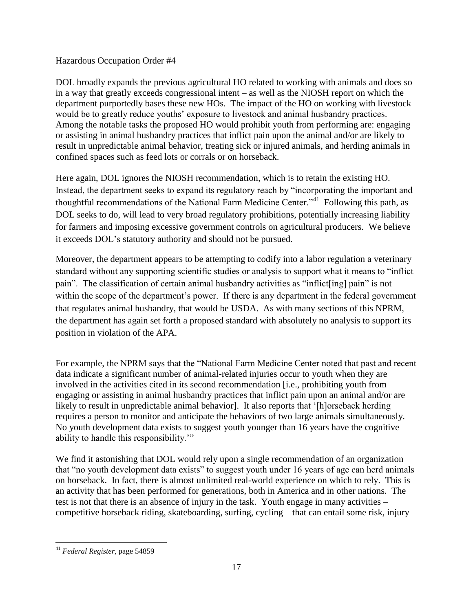## Hazardous Occupation Order #4

DOL broadly expands the previous agricultural HO related to working with animals and does so in a way that greatly exceeds congressional intent – as well as the NIOSH report on which the department purportedly bases these new HOs. The impact of the HO on working with livestock would be to greatly reduce youths" exposure to livestock and animal husbandry practices. Among the notable tasks the proposed HO would prohibit youth from performing are: engaging or assisting in animal husbandry practices that inflict pain upon the animal and/or are likely to result in unpredictable animal behavior, treating sick or injured animals, and herding animals in confined spaces such as feed lots or corrals or on horseback.

Here again, DOL ignores the NIOSH recommendation, which is to retain the existing HO. Instead, the department seeks to expand its regulatory reach by "incorporating the important and thoughtful recommendations of the National Farm Medicine Center."<sup>41</sup> Following this path, as DOL seeks to do, will lead to very broad regulatory prohibitions, potentially increasing liability for farmers and imposing excessive government controls on agricultural producers. We believe it exceeds DOL"s statutory authority and should not be pursued.

Moreover, the department appears to be attempting to codify into a labor regulation a veterinary standard without any supporting scientific studies or analysis to support what it means to "inflict pain". The classification of certain animal husbandry activities as "inflict[ing] pain" is not within the scope of the department's power. If there is any department in the federal government that regulates animal husbandry, that would be USDA. As with many sections of this NPRM, the department has again set forth a proposed standard with absolutely no analysis to support its position in violation of the APA.

For example, the NPRM says that the "National Farm Medicine Center noted that past and recent data indicate a significant number of animal-related injuries occur to youth when they are involved in the activities cited in its second recommendation [i.e., prohibiting youth from engaging or assisting in animal husbandry practices that inflict pain upon an animal and/or are likely to result in unpredictable animal behavior]. It also reports that "[h]orseback herding requires a person to monitor and anticipate the behaviors of two large animals simultaneously. No youth development data exists to suggest youth younger than 16 years have the cognitive ability to handle this responsibility.""

We find it astonishing that DOL would rely upon a single recommendation of an organization that "no youth development data exists" to suggest youth under 16 years of age can herd animals on horseback. In fact, there is almost unlimited real-world experience on which to rely. This is an activity that has been performed for generations, both in America and in other nations. The test is not that there is an absence of injury in the task. Youth engage in many activities – competitive horseback riding, skateboarding, surfing, cycling – that can entail some risk, injury

 $\overline{a}$ <sup>41</sup> *Federal Register*, page 54859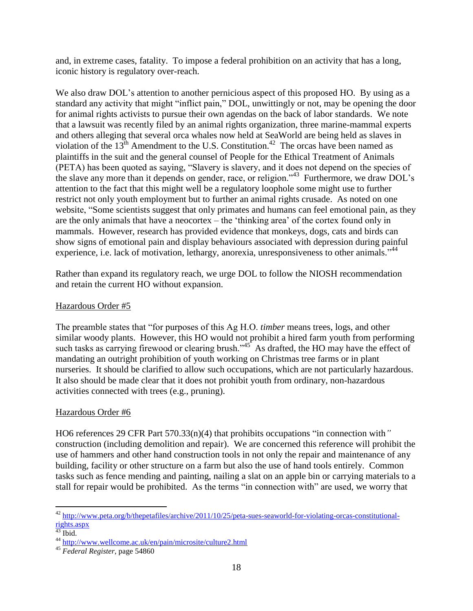and, in extreme cases, fatality. To impose a federal prohibition on an activity that has a long, iconic history is regulatory over-reach.

We also draw DOL's attention to another pernicious aspect of this proposed HO. By using as a standard any activity that might "inflict pain," DOL, unwittingly or not, may be opening the door for animal rights activists to pursue their own agendas on the back of labor standards. We note that a lawsuit was recently filed by an animal rights organization, three marine-mammal experts and others alleging that several orca whales now held at SeaWorld are being held as slaves in violation of the  $13<sup>th</sup>$  Amendment to the U.S. Constitution.<sup>42</sup> The orcas have been named as plaintiffs in the suit and the general counsel of People for the Ethical Treatment of Animals (PETA) has been quoted as saying, "Slavery is slavery, and it does not depend on the species of the slave any more than it depends on gender, race, or religion."<sup>43</sup> Furthermore, we draw DOL's attention to the fact that this might well be a regulatory loophole some might use to further restrict not only youth employment but to further an animal rights crusade. As noted on one website, "Some scientists suggest that only primates and humans can feel emotional pain, as they are the only animals that have a neocortex – the "thinking area" of the cortex found only in mammals. However, research has provided evidence that monkeys, dogs, cats and birds can show signs of emotional pain and display behaviours associated with depression during painful experience, i.e. lack of motivation, lethargy, anorexia, unresponsiveness to other animals."<sup>44</sup>

Rather than expand its regulatory reach, we urge DOL to follow the NIOSH recommendation and retain the current HO without expansion.

## Hazardous Order #5

The preamble states that "for purposes of this Ag H.O. *timber* means trees, logs, and other similar woody plants. However, this HO would not prohibit a hired farm youth from performing such tasks as carrying firewood or clearing brush." $45^\circ$  As drafted, the HO may have the effect of mandating an outright prohibition of youth working on Christmas tree farms or in plant nurseries. It should be clarified to allow such occupations, which are not particularly hazardous. It also should be made clear that it does not prohibit youth from ordinary, non-hazardous activities connected with trees (e.g., pruning).

## Hazardous Order #6

HO6 references 29 CFR Part 570.33(n)(4) that prohibits occupations "in connection with*"* construction (including demolition and repair). We are concerned this reference will prohibit the use of hammers and other hand construction tools in not only the repair and maintenance of any building, facility or other structure on a farm but also the use of hand tools entirely. Common tasks such as fence mending and painting, nailing a slat on an apple bin or carrying materials to a stall for repair would be prohibited. As the terms "in connection with" are used, we worry that

 $\overline{a}$  $^{42}$  [http://www.peta.org/b/thepetafiles/archive/2011/10/25/peta-sues-seaworld-for-violating-orcas-constitutional](http://www.peta.org/b/thepetafiles/archive/2011/10/25/peta-sues-seaworld-for-violating-orcas-constitutional-rights.aspx)[rights.aspx](http://www.peta.org/b/thepetafiles/archive/2011/10/25/peta-sues-seaworld-for-violating-orcas-constitutional-rights.aspx)

 $43$  Ibid.

<sup>44</sup> <http://www.wellcome.ac.uk/en/pain/microsite/culture2.html>

<sup>45</sup> *Federal Register*, page 54860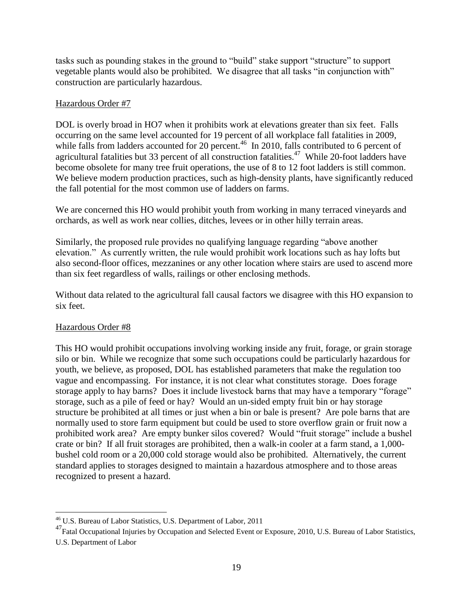tasks such as pounding stakes in the ground to "build" stake support "structure" to support vegetable plants would also be prohibited. We disagree that all tasks "in conjunction with" construction are particularly hazardous.

#### Hazardous Order #7

DOL is overly broad in HO7 when it prohibits work at elevations greater than six feet. Falls occurring on the same level accounted for 19 percent of all workplace fall fatalities in 2009, while falls from ladders accounted for 20 percent.<sup>46</sup> In 2010, falls contributed to 6 percent of agricultural fatalities but 33 percent of all construction fatalities.<sup>47</sup> While 20-foot ladders have become obsolete for many tree fruit operations, the use of 8 to 12 foot ladders is still common. We believe modern production practices, such as high-density plants, have significantly reduced the fall potential for the most common use of ladders on farms.

We are concerned this HO would prohibit youth from working in many terraced vineyards and orchards, as well as work near collies, ditches, levees or in other hilly terrain areas.

Similarly, the proposed rule provides no qualifying language regarding "above another elevation." As currently written, the rule would prohibit work locations such as hay lofts but also second-floor offices, mezzanines or any other location where stairs are used to ascend more than six feet regardless of walls, railings or other enclosing methods.

Without data related to the agricultural fall causal factors we disagree with this HO expansion to six feet.

## Hazardous Order #8

 $\overline{a}$ 

This HO would prohibit occupations involving working inside any fruit, forage, or grain storage silo or bin. While we recognize that some such occupations could be particularly hazardous for youth, we believe, as proposed, DOL has established parameters that make the regulation too vague and encompassing. For instance, it is not clear what constitutes storage. Does forage storage apply to hay barns? Does it include livestock barns that may have a temporary "forage" storage, such as a pile of feed or hay? Would an un-sided empty fruit bin or hay storage structure be prohibited at all times or just when a bin or bale is present? Are pole barns that are normally used to store farm equipment but could be used to store overflow grain or fruit now a prohibited work area? Are empty bunker silos covered? Would "fruit storage" include a bushel crate or bin? If all fruit storages are prohibited, then a walk-in cooler at a farm stand, a 1,000 bushel cold room or a 20,000 cold storage would also be prohibited. Alternatively, the current standard applies to storages designed to maintain a hazardous atmosphere and to those areas recognized to present a hazard.

<sup>46</sup> U.S. Bureau of Labor Statistics, U.S. Department of Labor, 2011

<sup>&</sup>lt;sup>47</sup>Fatal Occupational Injuries by Occupation and Selected Event or Exposure, 2010, U.S. Bureau of Labor Statistics, U.S. Department of Labor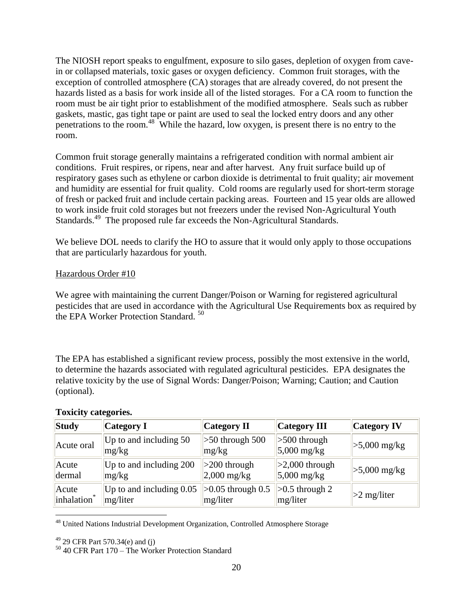The NIOSH report speaks to engulfment, exposure to silo gases, depletion of oxygen from cavein or collapsed materials, toxic gases or oxygen deficiency. Common fruit storages, with the exception of controlled atmosphere (CA) storages that are already covered, do not present the hazards listed as a basis for work inside all of the listed storages. For a CA room to function the room must be air tight prior to establishment of the modified atmosphere. Seals such as rubber gaskets, mastic, gas tight tape or paint are used to seal the locked entry doors and any other penetrations to the room.<sup>48</sup> While the hazard, low oxygen, is present there is no entry to the room.

Common fruit storage generally maintains a refrigerated condition with normal ambient air conditions. Fruit respires, or ripens, near and after harvest. Any fruit surface build up of respiratory gases such as ethylene or carbon dioxide is detrimental to fruit quality; air movement and humidity are essential for fruit quality. Cold rooms are regularly used for short-term storage of fresh or packed fruit and include certain packing areas. Fourteen and 15 year olds are allowed to work inside fruit cold storages but not freezers under the revised Non-Agricultural Youth Standards.<sup>49</sup> The proposed rule far exceeds the Non-Agricultural Standards.

We believe DOL needs to clarify the HO to assure that it would only apply to those occupations that are particularly hazardous for youth.

#### Hazardous Order #10

We agree with maintaining the current Danger/Poison or Warning for registered agricultural pesticides that are used in accordance with the Agricultural Use Requirements box as required by the EPA Worker Protection Standard.<sup>50</sup>

The EPA has established a significant review process, possibly the most extensive in the world, to determine the hazards associated with regulated agricultural pesticides. EPA designates the relative toxicity by the use of Signal Words: Danger/Poison; Warning; Caution; and Caution (optional).

| Study                   | <b>Category I</b>                 | <b>Category II</b>         | Category III                        | <b>Category IV</b> |
|-------------------------|-----------------------------------|----------------------------|-------------------------------------|--------------------|
| Acute oral              | Up to and including $50$<br>mg/kg | $>50$ through 500<br>mg/kg | $\geq 500$ through<br>$5,000$ mg/kg | $>5,000$ mg/kg     |
| Acute                   | Up to and including 200           | $>200$ through             | $>2,000$ through                    | $>5,000$ mg/kg     |
| dermal                  | mg/kg                             | $2,000$ mg/kg              | $5,000$ mg/kg                       |                    |
| Acute                   | Up to and including $0.05$        | $>0.05$ through 0.5        | $\geq 0.5$ through 2                | $>2$ mg/liter      |
| inhalation <sup>*</sup> | mg/liter                          | mg/liter                   | mg/liter                            |                    |

#### **Toxicity categories.**

<sup>48</sup> United Nations Industrial Development Organization, Controlled Atmosphere Storage

 $49$  29 CFR Part 570.34(e) and (j)

<sup>50</sup> 40 CFR Part 170 – The Worker Protection Standard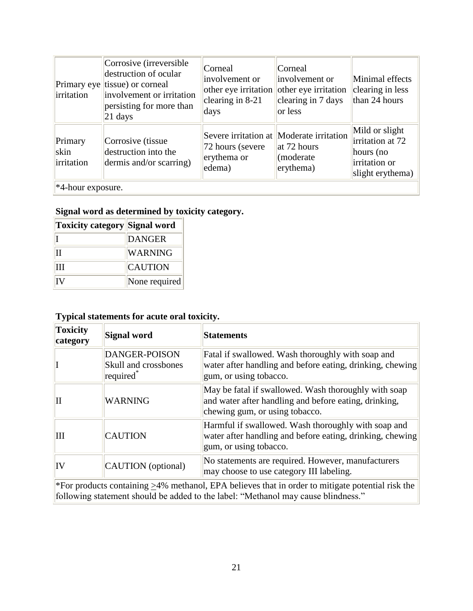| Primary eye<br>irritation                          | Corrosive (irreversible<br>destruction of ocular<br>tissue) or corneal<br>involvement or irritation<br>persisting for more than<br>$21$ days | Corneal<br>involvement or<br>other eye irritation<br>clearing in $8-21$<br>days | Corneal<br>involvement or<br>other eye irritation<br>clearing in 7 days<br>or less               | Minimal effects<br>clearing in less<br>than 24 hours                                 |
|----------------------------------------------------|----------------------------------------------------------------------------------------------------------------------------------------------|---------------------------------------------------------------------------------|--------------------------------------------------------------------------------------------------|--------------------------------------------------------------------------------------|
| Primary<br>skin<br>irritation<br>*4-hour exposure. | Corrosive (tissue<br>destruction into the<br>dermis and/or scarring)                                                                         | 72 hours (severe)<br>erythema or<br>edema)                                      | Severe irritation at Moderate irritation<br>$\int$ at 72 hours<br>(moderate)<br>$ $ erythema $ $ | Mild or slight<br>irritation at 72<br>hours (no<br>irritation or<br>slight erythema) |

# **Signal word as determined by toxicity category.**

| Toxicity category Signal word |                |
|-------------------------------|----------------|
|                               | <b>DANGER</b>  |
| IІ                            | <b>WARNING</b> |
| Ħ                             | <b>CAUTION</b> |
| TV                            | None required  |

# **Typical statements for acute oral toxicity.**

| <b>Toxicity</b><br>category                                                                      | Signal word                                                           | <b>Statements</b>                                                                                                                               |  |  |
|--------------------------------------------------------------------------------------------------|-----------------------------------------------------------------------|-------------------------------------------------------------------------------------------------------------------------------------------------|--|--|
|                                                                                                  | <b>DANGER-POISON</b><br>Skull and crossbones<br>required <sup>*</sup> | Fatal if swallowed. Wash thoroughly with soap and<br>water after handling and before eating, drinking, chewing<br>gum, or using tobacco.        |  |  |
| $\mathbf{I}$                                                                                     | <b>WARNING</b>                                                        | May be fatal if swallowed. Wash thoroughly with soap<br>and water after handling and before eating, drinking,<br>chewing gum, or using tobacco. |  |  |
| Ш                                                                                                | <b>CAUTION</b>                                                        | Harmful if swallowed. Wash thoroughly with soap and<br>water after handling and before eating, drinking, chewing<br>gum, or using tobacco.      |  |  |
| IV                                                                                               | CAUTION (optional)                                                    | No statements are required. However, manufacturers<br>may choose to use category III labeling.                                                  |  |  |
| *For products containing >4% methanol, EPA believes that in order to mitigate potential risk the |                                                                       |                                                                                                                                                 |  |  |

following statement should be added to the label: "Methanol may cause blindness."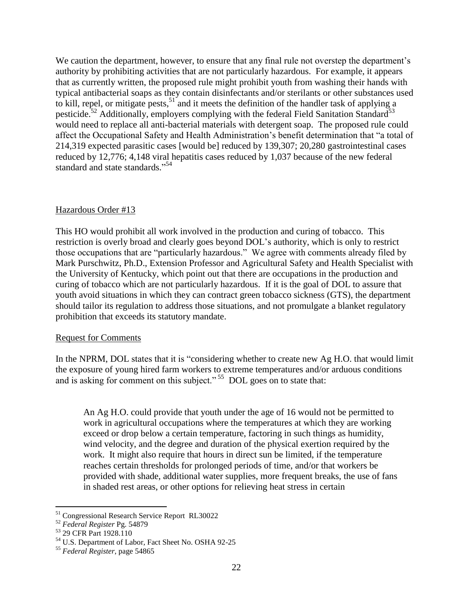We caution the department, however, to ensure that any final rule not overstep the department's authority by prohibiting activities that are not particularly hazardous. For example, it appears that as currently written, the proposed rule might prohibit youth from washing their hands with typical antibacterial soaps as they contain disinfectants and/or sterilants or other substances used to kill, repel, or mitigate pests,  $51$  and it meets the definition of the handler task of applying a pesticide.<sup>52</sup> Additionally, employers complying with the federal Field Sanitation Standard<sup>53</sup> would need to replace all anti-bacterial materials with detergent soap. The proposed rule could affect the Occupational Safety and Health Administration"s benefit determination that "a total of 214,319 expected parasitic cases [would be] reduced by 139,307; 20,280 gastrointestinal cases reduced by 12,776; 4,148 viral hepatitis cases reduced by 1,037 because of the new federal standard and state standards."<sup>54</sup>

#### Hazardous Order #13

This HO would prohibit all work involved in the production and curing of tobacco. This restriction is overly broad and clearly goes beyond DOL"s authority, which is only to restrict those occupations that are "particularly hazardous." We agree with comments already filed by Mark Purschwitz, Ph.D., Extension Professor and Agricultural Safety and Health Specialist with the University of Kentucky, which point out that there are occupations in the production and curing of tobacco which are not particularly hazardous. If it is the goal of DOL to assure that youth avoid situations in which they can contract green tobacco sickness (GTS), the department should tailor its regulation to address those situations, and not promulgate a blanket regulatory prohibition that exceeds its statutory mandate.

#### Request for Comments

In the NPRM, DOL states that it is "considering whether to create new Ag H.O. that would limit the exposure of young hired farm workers to extreme temperatures and/or arduous conditions and is asking for comment on this subject."<sup>55</sup> DOL goes on to state that:

An Ag H.O. could provide that youth under the age of 16 would not be permitted to work in agricultural occupations where the temperatures at which they are working exceed or drop below a certain temperature, factoring in such things as humidity, wind velocity, and the degree and duration of the physical exertion required by the work. It might also require that hours in direct sun be limited, if the temperature reaches certain thresholds for prolonged periods of time, and/or that workers be provided with shade, additional water supplies, more frequent breaks, the use of fans in shaded rest areas, or other options for relieving heat stress in certain

<sup>&</sup>lt;sup>51</sup> Congressional Research Service Report RL30022

<sup>52</sup> *Federal Register* Pg. 54879

<sup>&</sup>lt;sup>53</sup> 29 CFR Part 1928.110

<sup>54</sup> U.S. Department of Labor, Fact Sheet No. OSHA 92-25

<sup>55</sup> *Federal Register*, page 54865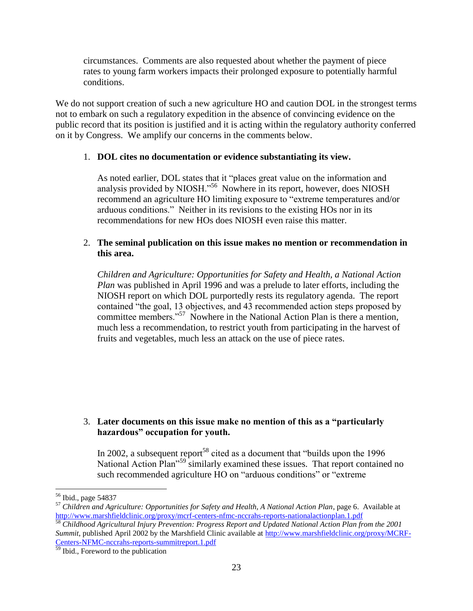circumstances. Comments are also requested about whether the payment of piece rates to young farm workers impacts their prolonged exposure to potentially harmful conditions.

We do not support creation of such a new agriculture HO and caution DOL in the strongest terms not to embark on such a regulatory expedition in the absence of convincing evidence on the public record that its position is justified and it is acting within the regulatory authority conferred on it by Congress. We amplify our concerns in the comments below.

## 1. **DOL cites no documentation or evidence substantiating its view.**

As noted earlier, DOL states that it "places great value on the information and analysis provided by NIOSH."<sup>56</sup> Nowhere in its report, however, does NIOSH recommend an agriculture HO limiting exposure to "extreme temperatures and/or arduous conditions." Neither in its revisions to the existing HOs nor in its recommendations for new HOs does NIOSH even raise this matter.

## 2. **The seminal publication on this issue makes no mention or recommendation in this area.**

*Children and Agriculture: Opportunities for Safety and Health, a National Action Plan* was published in April 1996 and was a prelude to later efforts, including the NIOSH report on which DOL purportedly rests its regulatory agenda. The report contained "the goal, 13 objectives, and 43 recommended action steps proposed by committee members."<sup>57</sup> Nowhere in the National Action Plan is there a mention, much less a recommendation, to restrict youth from participating in the harvest of fruits and vegetables, much less an attack on the use of piece rates.

## 3. **Later documents on this issue make no mention of this as a "particularly hazardous" occupation for youth.**

In 2002, a subsequent report<sup>58</sup> cited as a document that "builds upon the  $1996$ " National Action Plan<sup>"59</sup> similarly examined these issues. That report contained no such recommended agriculture HO on "arduous conditions" or "extreme

<sup>&</sup>lt;sup>56</sup> Ibid., page 54837

<sup>57</sup> *Children and Agriculture: Opportunities for Safety and Health, A National Action Plan*, page 6. Available at <http://www.marshfieldclinic.org/proxy/mcrf-centers-nfmc-nccrahs-reports-nationalactionplan.1.pdf>

<sup>58</sup> *Childhood Agricultural Injury Prevention: Progress Report and Updated National Action Plan from the 2001 Summit*, published April 2002 by the Marshfield Clinic available at [http://www.marshfieldclinic.org/proxy/MCRF-](http://www.marshfieldclinic.org/proxy/MCRF-Centers-NFMC-nccrahs-reports-summitreport.1.pdf)[Centers-NFMC-nccrahs-reports-summitreport.1.pdf](http://www.marshfieldclinic.org/proxy/MCRF-Centers-NFMC-nccrahs-reports-summitreport.1.pdf)

<sup>&</sup>lt;sup>59</sup> Ibid., Foreword to the publication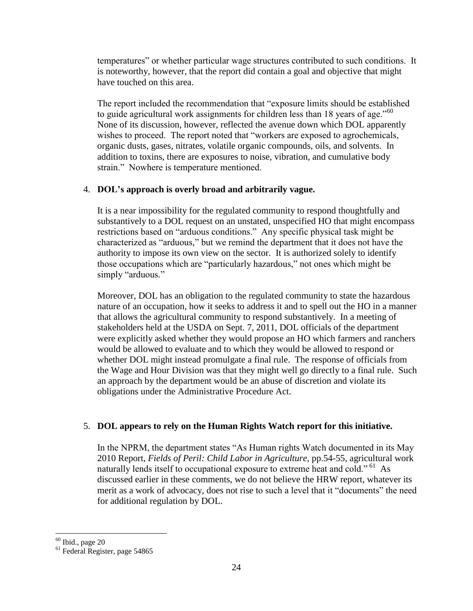temperatures" or whether particular wage structures contributed to such conditions. It is noteworthy, however, that the report did contain a goal and objective that might have touched on this area.

The report included the recommendation that "exposure limits should be established to guide agricultural work assignments for children less than 18 years of age."<sup>60</sup> None of its discussion, however, reflected the avenue down which DOL apparently wishes to proceed. The report noted that "workers are exposed to agrochemicals, organic dusts, gases, nitrates, volatile organic compounds, oils, and solvents. In addition to toxins, there are exposures to noise, vibration, and cumulative body strain." Nowhere is temperature mentioned.

## 4. **DOL's approach is overly broad and arbitrarily vague.**

It is a near impossibility for the regulated community to respond thoughtfully and substantively to a DOL request on an unstated, unspecified HO that might encompass restrictions based on "arduous conditions." Any specific physical task might be characterized as "arduous," but we remind the department that it does not have the authority to impose its own view on the sector. It is authorized solely to identify those occupations which are "particularly hazardous," not ones which might be simply "arduous."

Moreover, DOL has an obligation to the regulated community to state the hazardous nature of an occupation, how it seeks to address it and to spell out the HO in a manner that allows the agricultural community to respond substantively. In a meeting of stakeholders held at the USDA on Sept. 7, 2011, DOL officials of the department were explicitly asked whether they would propose an HO which farmers and ranchers would be allowed to evaluate and to which they would be allowed to respond or whether DOL might instead promulgate a final rule. The response of officials from the Wage and Hour Division was that they might well go directly to a final rule. Such an approach by the department would be an abuse of discretion and violate its obligations under the Administrative Procedure Act.

## 5. **DOL appears to rely on the Human Rights Watch report for this initiative.**

In the NPRM, the department states "As Human rights Watch documented in its May 2010 Report, *Fields of Peril: Child Labor in Agriculture,* pp.54-55, agricultural work naturally lends itself to occupational exposure to extreme heat and cold."<sup>61</sup> As discussed earlier in these comments, we do not believe the HRW report, whatever its merit as a work of advocacy, does not rise to such a level that it "documents" the need for additional regulation by DOL.

 $60$  Ibid., page 20

<sup>61</sup> Federal Register, page 54865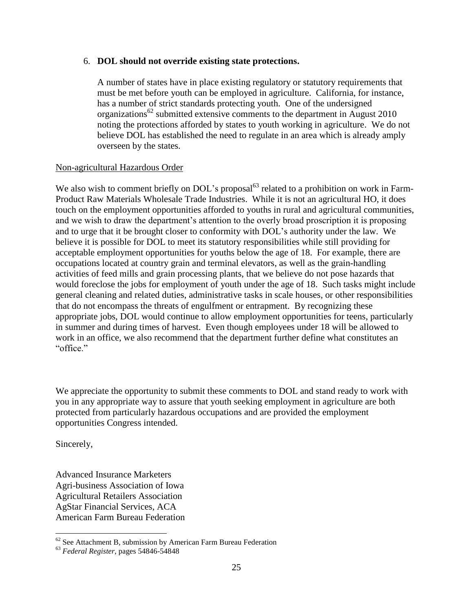#### 6. **DOL should not override existing state protections.**

A number of states have in place existing regulatory or statutory requirements that must be met before youth can be employed in agriculture. California, for instance, has a number of strict standards protecting youth. One of the undersigned organizations<sup>62</sup> submitted extensive comments to the department in August 2010 noting the protections afforded by states to youth working in agriculture. We do not believe DOL has established the need to regulate in an area which is already amply overseen by the states.

#### Non-agricultural Hazardous Order

We also wish to comment briefly on DOL's proposal<sup>63</sup> related to a prohibition on work in Farm-Product Raw Materials Wholesale Trade Industries. While it is not an agricultural HO, it does touch on the employment opportunities afforded to youths in rural and agricultural communities, and we wish to draw the department's attention to the overly broad proscription it is proposing and to urge that it be brought closer to conformity with DOL"s authority under the law. We believe it is possible for DOL to meet its statutory responsibilities while still providing for acceptable employment opportunities for youths below the age of 18. For example, there are occupations located at country grain and terminal elevators, as well as the grain-handling activities of feed mills and grain processing plants, that we believe do not pose hazards that would foreclose the jobs for employment of youth under the age of 18. Such tasks might include general cleaning and related duties, administrative tasks in scale houses, or other responsibilities that do not encompass the threats of engulfment or entrapment. By recognizing these appropriate jobs, DOL would continue to allow employment opportunities for teens, particularly in summer and during times of harvest. Even though employees under 18 will be allowed to work in an office, we also recommend that the department further define what constitutes an "office."

We appreciate the opportunity to submit these comments to DOL and stand ready to work with you in any appropriate way to assure that youth seeking employment in agriculture are both protected from particularly hazardous occupations and are provided the employment opportunities Congress intended.

Sincerely,

 $\overline{a}$ 

Advanced Insurance Marketers Agri-business Association of Iowa Agricultural Retailers Association AgStar Financial Services, ACA American Farm Bureau Federation

 $62$  See Attachment B, submission by American Farm Bureau Federation

<sup>63</sup> *Federal Register*, pages 54846-54848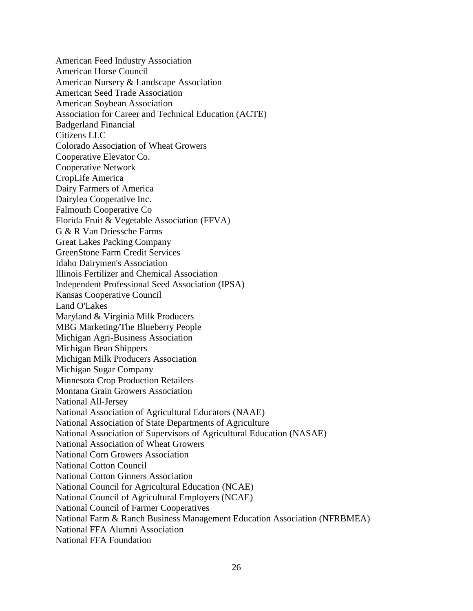American Feed Industry Association American Horse Council American Nursery & Landscape Association American Seed Trade Association American Soybean Association Association for Career and Technical Education (ACTE) Badgerland Financial Citizens LLC Colorado Association of Wheat Growers Cooperative Elevator Co. Cooperative Network CropLife America Dairy Farmers of America Dairylea Cooperative Inc. Falmouth Cooperative Co Florida Fruit & Vegetable Association (FFVA) G & R Van Driessche Farms Great Lakes Packing Company GreenStone Farm Credit Services Idaho Dairymen's Association Illinois Fertilizer and Chemical Association Independent Professional Seed Association (IPSA) Kansas Cooperative Council Land O'Lakes Maryland & Virginia Milk Producers MBG Marketing/The Blueberry People Michigan Agri-Business Association Michigan Bean Shippers Michigan Milk Producers Association Michigan Sugar Company Minnesota Crop Production Retailers Montana Grain Growers Association National All-Jersey National Association of Agricultural Educators (NAAE) National Association of State Departments of Agriculture National Association of Supervisors of Agricultural Education (NASAE) National Association of Wheat Growers National Corn Growers Association National Cotton Council National Cotton Ginners Association National Council for Agricultural Education (NCAE) National Council of Agricultural Employers (NCAE) National Council of Farmer Cooperatives National Farm & Ranch Business Management Education Association (NFRBMEA) National FFA Alumni Association National FFA Foundation